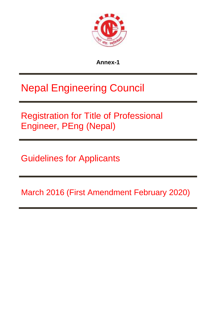

**Annex-1**

# Nepal Engineering Council

Registration for Title of Professional Engineer, PEng (Nepal)

Guidelines for Applicants

March 2016 (First Amendment February 2020)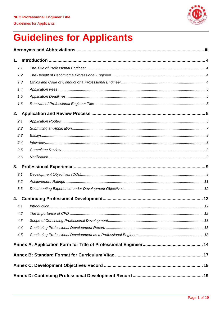

| 1.   |  |
|------|--|
| 1.1. |  |
| 1.2. |  |
| 1.3. |  |
| 1.4. |  |
| 1.5. |  |
| 1.6. |  |
| 2.   |  |
| 2.1. |  |
| 2.2. |  |
| 2.3. |  |
| 2.4. |  |
| 2.5. |  |
| 2.6. |  |
| 3.   |  |
| 3.1. |  |
| 3.2. |  |
| 3.3. |  |
| 4.   |  |
| 4.1. |  |
| 4.2. |  |
| 4.3. |  |
| 4.4. |  |
| 4.5. |  |
|      |  |
|      |  |
|      |  |
|      |  |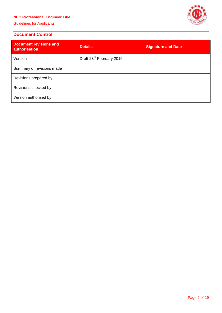# **NEC Professional Engineer Title**

Guidelines for Applicants



# **Document Control**

| <b>Document revisions and</b><br><b>authorisation</b> | <b>Details</b>                       | <b>Signature and Date</b> |
|-------------------------------------------------------|--------------------------------------|---------------------------|
| Version                                               | Draft 23 <sup>rd</sup> February 2016 |                           |
| Summary of revisions made                             |                                      |                           |
| Revisions prepared by                                 |                                      |                           |
| Revisions checked by                                  |                                      |                           |
| Version authorised by                                 |                                      |                           |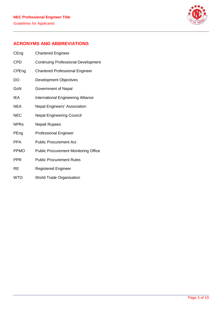

# **ACRONYMS AND ABBREVIATIONS**

| CEng        | <b>Chartered Engineer</b>                   |
|-------------|---------------------------------------------|
| CPD         | <b>Continuing Professional Development</b>  |
| CPEng       | <b>Chartered Professional Engineer</b>      |
| DO          | Development Objectives                      |
| GoN         | Government of Nepal                         |
| IEA         | International Engineering Alliance          |
| <b>NEA</b>  | Nepal Engineers' Association                |
| <b>NEC</b>  | <b>Nepal Engineering Council</b>            |
| <b>NPRs</b> | Nepali Rupees                               |
| PEng        | <b>Professional Engineer</b>                |
| PPA         | <b>Public Procurement Act</b>               |
| <b>PPMO</b> | <b>Public Procurement Monitoring Office</b> |
| <b>PPR</b>  | <b>Public Procurement Rules</b>             |
| RE          | <b>Registered Engineer</b>                  |

WTO World Trade Organisation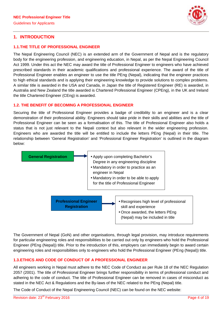

## **1. INTRODUCTION**

#### **1.1.THE TITLE OF PROFESSIONAL ENGINEER**

The Nepal Engineering Council (NEC) is an extended arm of the Government of Nepal and is the regulatory body for the engineering profession, and engineering education, in Nepal, as per the Nepal Engineering Council Act 1999. Under this act the NEC may award the title of Professional Engineer to engineers who have achieved prescribed standards in their academic qualifications and professional experience. The award of the title of Professional Engineer enables an engineer to use the title PEng (Nepal), indicating that the engineer practices to high ethical standards and is applying their engineering knowledge to provide solutions to complex problems. A similar title is awarded in the USA and Canada, in Japan the title of Registered Engineer (RE) is awarded, in Australia and New Zealand the title awarded is Chartered Professional Engineer (CPEng), in the UK and Ireland the title Chartered Engineer (CEng) is awarded.

#### **1.2. THE BENEFIT OF BECOMING A PROFESSIONAL ENGINEER**

Securing the title of Professional Engineer provides a badge of credibility to an engineer and is a clear demonstration of their professional ability. Engineers should take pride in their skills and abilities and the title of Professional Engineer can be seen as a formalisation of this. The title of Professional Engineer also holds a status that is not just relevant to the Nepali context but also relevant in the wider engineering profession. Engineers who are awarded the title will be entitled to include the letters PEng (Nepal) in their title. The relationship between 'General Registration' and 'Professional Engineer Registration' is outlined in the diagram below:



The Government of Nepal (GoN) and other organisations, through legal provision, may introduce requirements for particular engineering roles and responsibilities to be carried out only by engineers who hold the Professional Engineer (PEng (Nepal)) title. Prior to the introduction of this, employers can immediately begin to award certain engineering roles and responsibilities only to engineers who hold the Professional Engineer (PEng (Nepal)) title.

## **1.3.ETHICS AND CODE OF CONDUCT OF A PROFESSIONAL ENGINEER**

All engineers working in Nepal must adhere to the NEC Code of Conduct as per Rule 18 of the NEC Regulation 2057 (2001). The title of Professional Engineer brings further responsibility in terms of professional conduct and adhering to the code of conduct. The title of Professional Engineer can be removed in cases of misconduct as stated in the NEC Act & Regulations and the By-laws of the NEC related to the PEng (Nepal) title.

The Code of Conduct of the Nepal Engineering Council (NEC) can be found on the NEC website: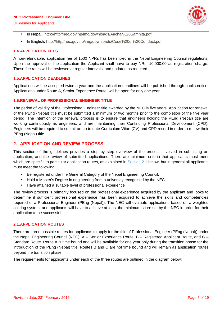#### **NEC Professional Engineer Title**

Guidelines for Applicants



- In Nepali, http://http//nec.gov.np/img/downloads/Aachar%20Samhita.pdf
- In English, http://http//nec.gov.np/img/downloads/Code%20of%20Conduct.pdf

#### **1.4.APPLICATION FEES**

A non-refundable, application fee of 1500 NPRs has been fixed in the Nepal Engineering Council regulations. Upon the approval of the application the Applicant shall have to pay NRs. 10,000.00 as registration charge. These fee rates will be reviewed at regular intervals, and updated as required.

#### **1.5.APPLICATION DEADLINES**

Applications will be accepted twice a year and the application deadlines will be published through public notice. Applications under Route A, Senior Experience Route, will be open for only one year.

#### **1.6.RENEWAL OF PROFESSIONAL ENGINEER TITLE**

The period of validity of the Professional Engineer title awarded by the NEC is five years. Application for renewal of the PEng (Nepal) title must be submitted a minimum of two months prior to the completion of the five year period. The intention of the renewal process is to ensure that engineers holding the PEng (Nepal) title are working continuously as engineers, and are maintaining their Continuing Professional Development (CPD). Engineers will be required to submit an up to date Curriculum Vitae (CV) and CPD record in order to renew their PEng (Nepal) title.

## **2. APPLICATION AND REVIEW PROCESS**

This section of the guidelines provides a step by step overview of the process involved in submitting an application, and the review of submitted applications. There are minimum criteria that applicants must meet which are specific to particular application routes, as explained in Section 2.1 below, but in general all applicants must meet the following:

- Be registered under the General Category of the Nepal Engineering Council.
- Hold a Master's Degree in engineering from a university recognised by the NEC
- Have attained a suitable level of professional experience

The review process is primarily focused on the professional experience acquired by the applicant and looks to determine if sufficient professional experience has been acquired to achieve the skills and competencies required of a Professional Engineer (PEng (Nepal)). The NEC will evaluate applications based on a weighted scoring system, and applicants will have to achieve at least the minimum score set by the NEC in order for their application to be successful.

#### **2.1.APPLICATION ROUTES**

There are three possible routes for applicants to apply for the title of Professional Engineer (PEng (Nepal)) under the Nepal Engineering Council (NEC); A – Senior Experience Route, B – Registered Applicant Route, and C – Standard Route. Route A is time bound and will be available for one year only during the transition phase for the introduction of the PEng (Nepal) title. Routes B and C are not time bound and will remain as application routes beyond the transition phase.

The requirements for applicants under each of the three routes are outlined in the diagram below: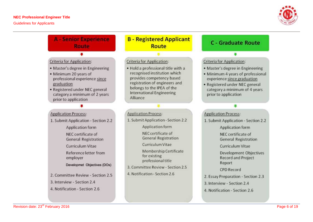

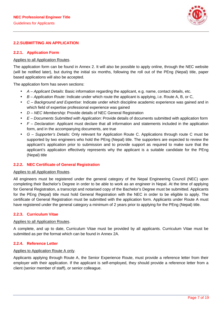

#### **2.2.SUBMITTING AN APPLICATION**

#### **2.2.1. Application Form**

#### Applies to all Application Routes.

The application form can be found in Annex 2. It will also be possible to apply online, through the NEC website (will be notified later), but during the initial six months, following the roll out of the PEng (Nepal) title, paper based applications will also be accepted.

The application form has seven sections:

- *A –Applicant Details*: Basic information regarding the applicant, e.g. name, contact details, etc.
- *B –Application Route*: Indicate under which route the applicant is applying, i.e. Route A, B, or C,
- *C – Background and Expertise*: Indicate under which discipline academic experience was gained and in which field of expertise professional experience was gained
- *D – NEC Membership*: Provide details of NEC General Registration
- *E –Documents Submitted with Application*: Provide details of documents submitted with application form
- *F – Declaration*: Applicant must declare that all information and statements included in the application form, and in the accompanying documents, are true
- *G – Supporter's Details*: Only relevant for Application Route C. Applications through route C must be supported by two engineers who hold the PEng (Nepal) title. The supporters are expected to review the applicant's application prior to submission and to provide support as required to make sure that the applicant's application effectively represents why the applicant is a suitable candidate for the PEng (Nepal) title

#### **2.2.2. NEC Certificate of General Registration**

#### Applies to all Application Routes.

All engineers must be registered under the general category of the Nepal Engineering Council (NEC) upon completing their Bachelor's Degree in order to be able to work as an engineer in Nepal. At the time of applying for General Registration, a transcript and notarised copy of the Bachelor's Degree must be submitted. Applicants for the PEng (Nepal) title must hold General Registration with the NEC in order to be eligible to apply. The certificate of General Registration must be submitted with the application form. Applicants under Route A must have registered under the general category a minimum of 2 years prior to applying for the PEng (Nepal) title.

#### **2.2.3. Curriculum Vitae**

#### Applies to all Application Routes.

A complete, and up to date, Curriculum Vitae must be provided by all applicants. Curriculum Vitae must be submitted as per the format which can be found in Annex 2A.

#### **2.2.4. Reference Letter**

#### Applies to Application Route A only.

Applicants applying through Route A, the Senior Experience Route, must provide a reference letter from their employer with their application. If the applicant is self-employed, they should provide a reference letter from a client (senior member of staff), or senior colleague.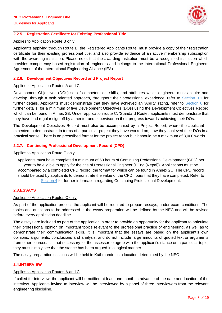

#### **2.2.5. Registration Certificate for Existing Professional Title**

#### Applies to Application Route B only.

Applicants applying through Route B, the Registered Applicants Route, must provide a copy of their registration certificate for their existing professional title, and also provide evidence of an active membership subscription with the awarding institution. Please note, that the awarding institution must be a recognised institution which provides competency based registration of engineers and belongs to the International Professional Engineers Agreement of the International Engineering Alliance (IEA).

#### **2.2.6. Development Objectives Record and Project Report**

#### Applies to Application Routes A and C.

Development Objectives (DOs) set of competencies, skills, and attributes which engineers must acquire and develop, through a task oriented approach, throughout their professional experience; refer to Section 3.1 for further details. Applicants must demonstrate that they have achieved an 'Ability' rating, refer to Section 0 for further details, for a minimum of five Development Objectives (DOs) using the Development Objectives Record which can be found in Annex 2B. Under application route C, 'Standard Route', applicants must demonstrate that they have had regular sign off by a mentor and supervisor on their progress towards achieving their DOs.

The Development Objectives Record must also be accompanied by a Project Report, where the applicant is expected to demonstrate, in terms of a particular project they have worked on, how they achieved their DOs in a practical sense. There is no prescribed format for the project report but it should be a maximum of 3,000 words.

#### **2.2.7. Continuing Professional Development Record (CPD)**

#### Applies to Application Route C only.

Applicants must have completed a minimum of 60 hours of Continuing Professional Development (CPD) per year to be eligible to apply for the title of Professional Engineer (PEng (Nepal)). Applications must be accompanied by a completed CPD record, the format for which can be found in Annex 2C. The CPD record should be used by applicants to demonstrate the value of the CPD hours that they have completed. Refer to Section 4 for further information regarding Continuing Professional Development.

### **2.3.ESSAYS**

#### Applies to Application Routes C only.

As part of the application process the applicant will be required to prepare essays, under exam conditions. The topics and questions to be addressed in the essay preparation will be defined by the NEC and will be revised before every application deadline.

The essays are included as part of the application in order to provide an opportunity for the applicant to articulate their professional opinion on important topics relevant to the professional practice of engineering, as well as to demonstrate their communication skills. It is important that the essays are based on the applicant's own opinions, arguments, conclusions and analysis, and do not include large amounts of quoted text or arguments from other sources. It is not necessary for the assessor to agree with the applicant's stance on a particular topic, they must simply see that the stance has been argued in a logical manner.

The essay preparation sessions will be held in Kathmandu, in a location determined by the NEC.

#### **2.4.INTERVIEW**

#### Applies to Application Routes A and C.

If called for interview, the applicant will be notified at least one month in advance of the date and location of the interview. Applicants invited to interview will be interviewed by a panel of three interviewers from the relevant engineering discipline.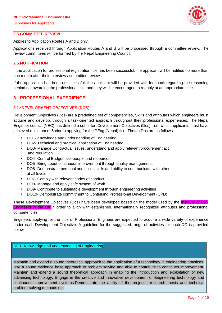

#### **2.5.COMMITTEE REVIEW**

#### Applies to Application Routes A and B only.

Applications received through Application Routes A and B will be processed through a committee review. The review committees will be formed by the Nepal Engineering Council.

#### **2.6.NOTIFICATION**

If the application for professional registration title has been successful, the applicant will be notified no more than one month after their interview / committee review.

If the application has been unsuccessful, the applicant will be provided with feedback regarding the reasoning behind not awarding the professional title, and they will be encouraged to reapply at an appropriate time.

### **3. PROFESSIONAL EXPERIENCE**

#### **3.1.\*DEVELOPMENT OBJECTIVES (DOS)**

Development Objectives (Dos) are a predefined set of competencies, Skills and attributes which engineers must acquire and develop, through a task-oriented approach throughout their professional experiences. The Nepal Engineer council (NEC) has defined a set of ten Development Objectives (Dos) from which applicants must have achieved minimum of 5prior to applying for the PEng (Nepal) title. Theten Dos are as follows:

- DO1- Knowledge and understanding of Engineering
- DO2- Technical and practical application of Engineering
- DO3- Manage Contractual issues, understand and apply relevant procurement act and regulation.
- DO4- Control Budget task people and resources
- DO5- Bring about continuous improvement through quality management.
- DO6- Demonstrate personal and social skills and ability to communicate with others at all levels
- DO7- Comply with relevant codes of conduct
- DO8- Manage and apply safe system of work
- DO9- Contribute to sustainable development through engineering activities
- DO10- Demonstrate commitment to Continuing Professional Development (CPD)

These Development Objectives (Dos) have been developed based on the model used by the *Institute of Civil* Engineers in the UK,in order to align with established, internationally recognized attributes and professional competencies.

Engineers applying for the tittle of Professional Engineer are expected to acquire a wide variety of experience under each Development Objective. A guideline for the suggested range of activities for each DO is provided below.

#### DO1- Knowledge and understanding of Engineering

Maintain and extend a sound theoretical approach to the application of a technology in engineering practices. Use a sound evidence base approach to problem solving and able to contribute to continues improvement. Maintain and extend a sound theoretical approach in enabling the introduction and exploitation of new advancing technology. Engage in the creative and innovative development of Engineering technology and continuous improvement systems.Demonstrate the ability of the project , research thesis and technical problem-solving methods etc.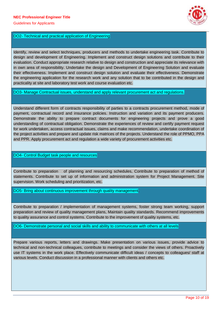

#### DO2- Technical and practical application of Engineering

Identify, review and select techniques, producers and methods to undertake engineering task. Contribute to design and development of Engineering. Implement and construct design solutions and contribute to their evaluation. Conduct appropriate research relative to design and construction and appreciate its relevance with in own area of responsibility. Undertake the design and Development of Engineering Solution and evaluate their effectiveness. Implement and construct design solution and evaluate their effectiveness. Demonstrate the engineering application for the research work and any solution that to be contributed in the design and practicality at site and laboratory test work and course evaluation etc.

DO3- Manage Contractual issues, understand and apply relevant procurement act and regulations.

Understand different form of contracts responsibility of parties to a contracts procurement method, mode of payment, contractual record and insurance policies. Instruction and variation and its payment producers. Demonstrate the ability to prepare contract documents for engineering projects and prove a good understanding of contractual obligation. Demonstrate the experiences of review and certify payment request for work undertaken, access contractual issues, claims and make recommendation, undertake coordination of the project activities and prepare and update risk matrices of the projects. Understand the role of PPMO, PPA and PPR. Apply procurement act and regulation a wide variety of procurement activities etc.

#### DO4- Control Budget task people and resources

Contribute to preparation of planning and resourcing schedules, Contribute to preparation of method of statements. Contribute to set up of information and administration system for Project Management. Site supervision. Work scheduling and prioritization, etc.

DO5- Bring about continuous improvement through quality management.

Contribute to preparation / implementation of management systems, foster strong team working, support preparation and review of quality management plans, Maintain quality standards. Recommend improvements to quality assurance and control systems. Contribute to the improvement of quality systems, etc.

DO6- Demonstrate personal and social skills and ability to communicate with others at all levels

Prepare various reports, letters and drawings. Make presentation on various issues, provide advice to technical and non-technical colleagues, contribute to meetings and consider the views of others. Proactively use IT systems in the work place. Effectively communicate difficult ideas / concepts to colleagues/ staff at various levels. Conduct discussion in a professional manner with clients and others etc.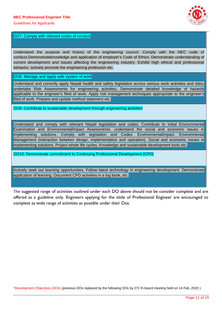

#### DO7- Comply with relevant codes of conduct

Understand the purpose and history of the engineering council. Comply with the NEC code of conduct.Demonstrateknowledge and application of employer's Code of Ethics. Demonstrate understanding of current development and issues affecting the engineering industry. Exhibit high ethical and professional behavior, actively promote the engineering profession etc.

#### DO8- Manage and apply safe system of work

Understand and correctly apply Nepali health and safety legislation across various work activities and sites, undertake Risk Assessments for engineering activities, Demonstrate detailed knowledge of hazards applicable to the engineer's filed of work. Apply risk management techniques appropriate to the engineer's filed of work. Prepare and update method statement etc.

DO9- Contribute to sustainable development through engineering activities

Understand and comply with relevant Nepali legislation and codes. Contribute to Initial Environmental Examination and EnvironmentalImpact Assessments. understand the social and economic issues in implementing solutions. Comply with legislation and Codes. EnvironmentalImpact. Environmental Management (interaction between design, implementation and operation). Social and economic issues in implementing solutions. Project whole life cycles. Knowledge and sustainable development tools etc.

DO10- Demonstrate commitment to Continuing Professional Development (CPD)

Actively seek out learning opportunities. Follow latest technology in engineering development. Demonstrate application of learning. Document CPD activities in a log book, etc.

The suggested range of activities outlined under each DO above should not be consider complete and are offered as a guideline only. Engineers applying for the tittle of Professional Engineer are encouraged to complete as wide range of activities as possible under their Dos.

\*Development Objectives (DOs) (previous DOs replaced by the following DOs by 272 th board meeting held on 14 Feb, 2020 )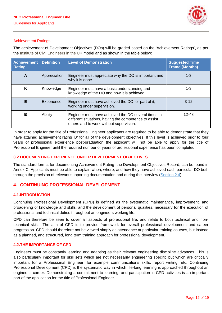

#### Achievement Ratings

The achievement of Development Objectives (DOs) will be graded based on the 'Achievement Ratings', as per the Institute of Civil Engineers in the UK model and as shown in the table below:

| <b>Achievement Definition</b><br><b>Rating</b> |              | <b>Level of Demonstration</b>                                                                                                                           | <b>Suggested Time</b><br><b>Frame (Months)</b> |
|------------------------------------------------|--------------|---------------------------------------------------------------------------------------------------------------------------------------------------------|------------------------------------------------|
| A                                              | Appreciation | Engineer must appreciate why the DO is important and<br>why it is done.                                                                                 | $1 - 3$                                        |
| K                                              | Knowledge    | Engineer must have a basic understanding and<br>knowledge of the DO and how it is achieved.                                                             | 1-3                                            |
| Е                                              | Experience   | Engineer must have achieved the DO, or part of it,<br>working under supervision.                                                                        | $3 - 12$                                       |
| в                                              | Ability      | Engineer must have achieved the DO several times in<br>different situations, having the competence to assist<br>others and to work without supervision. | $12 - 48$                                      |

In order to apply for the title of Professional Engineer applicants are required to be able to demonstrate that they have attained achievement rating 'B' for all of the development objectives. If this level is achieved prior to four years of professional experience post-graduation the applicant will not be able to apply for the title of Professional Engineer until the required number of years of professional experience has been completed.

#### **3.2.DOCUMENTING EXPERIENCE UNDER DEVELOPMENT OBJECTIVES**

The standard format for documenting Achievement Rating, the Development Objectives Record, can be found in Annex C. Applicants must be able to explain when, where, and how they have achieved each particular DO both through the provision of relevant supporting documentation and during the interview (Section 2.4).

## **4. CONTINUING PROFESSIONAL DEVELOPMENT**

#### **4.1.INTRODUCTION**

Continuing Professional Development (CPD) is defined as the systematic maintenance, improvement, and broadening of knowledge and skills, and the development of personal qualities, necessary for the execution of professional and technical duties throughout an engineers working life.

CPD can therefore be seen to cover all aspects of professional life, and relate to both technical and nontechnical skills. The aim of CPD is to provide framework for overall professional development and career progression. CPD should therefore not be viewed simply as attendance at particular training courses, but instead as a planned, and structured, long term training approach for professional development.

#### **4.2.THE IMPORTANCE OF CPD**

Engineers must be constantly learning and adapting as their relevant engineering discipline advances. This is also particularly important for skill sets which are not necessarily engineering specific but which are critically important for a Professional Engineer, for example communications skills, report writing, etc. Continuing Professional Development (CPD) is the systematic way in which life-long learning is approached throughout an engineer's career. Demonstrating a commitment to learning, and participation in CPD activities is an important part of the application for the title of Professional Engineer.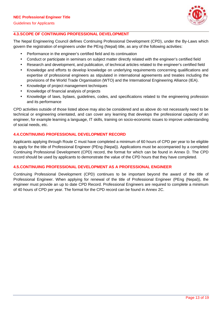

## **4.3.SCOPE OF CONTINUING PROFESSIONAL DEVELOPMENT**

The Nepal Engineering Council defines Continuing Professional Development (CPD), under the By-Laws which govern the registration of engineers under the PEng (Nepal) title, as any of the following activities:

- Performance in the engineer's certified field and its continuation
- Conduct or participate in seminars on subject matter directly related with the engineer's certified field
- Research and development, and publication, of technical articles related to the engineer's certified field
- Knowledge and efforts to develop knowledge on underlying requirements concerning qualifications and expertise of professional engineers as stipulated in international agreements and treaties including the provisions of the World Trade Organisation (WTO) and the International Engineering Alliance (IEA).
- Knowledge of project management techniques
- Knowledge of financial analysis of projects
- Knowledge of laws, bylaws, guidelines, codes, and specifications related to the engineering profession and its performance

CPD activities outside of those listed above may also be considered and as above do not necessarily need to be technical or engineering orientated, and can cover any learning that develops the professional capacity of an engineer, for example learning a language, IT skills, training on socio-economic issues to improve understanding of social needs, etc.

#### **4.4.CONTINUING PROFESSIONAL DEVELOPMENT RECORD**

Applicants applying through Route C must have completed a minimum of 60 hours of CPD per year to be eligible to apply for the title of Professional Engineer (PEng (Nepal)). Applications must be accompanied by a completed Continuing Professional Development (CPD) record, the format for which can be found in Annex D. The CPD record should be used by applicants to demonstrate the value of the CPD hours that they have completed.

#### **4.5.CONTINUING PROFESSIONAL DEVELOPMENT AS A PROFESSIONAL ENGINEER**

Continuing Professional Development (CPD) continues to be important beyond the award of the title of Professional Engineer. When applying for renewal of the title of Professional Engineer (PEng (Nepal)), the engineer must provide an up to date CPD Record. Professional Engineers are required to complete a minimum of 40 hours of CPD per year. The format for the CPD record can be found in Annex 2C.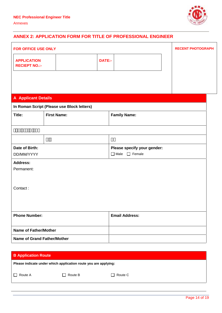

# **ANNEX 2: APPLICATION FORM FOR TITLE OF PROFESSIONAL ENGINEER**

| FOR OFFICE USE ONLY                        |                                            |                              | <b>RECENT PHOTOGRAPH</b> |
|--------------------------------------------|--------------------------------------------|------------------------------|--------------------------|
| <b>APPLICATION</b><br><b>RECIEPT NO.:-</b> |                                            | DATE:-                       |                          |
|                                            |                                            |                              |                          |
|                                            |                                            |                              |                          |
| <b>A</b> Applicant Details                 |                                            |                              |                          |
|                                            | In Roman Script (Please use Block letters) |                              |                          |
| Title:                                     | <b>First Name:</b>                         | <b>Family Name:</b>          |                          |
|                                            |                                            |                              |                          |
|                                            |                                            |                              |                          |
|                                            |                                            |                              |                          |
| Date of Birth:                             |                                            | Please specify your gender:  |                          |
| DD/MM/YYYY                                 |                                            | $\Box$ Female<br>$\Box$ Male |                          |
| <b>Address:</b>                            |                                            |                              |                          |
| Permanent:                                 |                                            |                              |                          |
|                                            |                                            |                              |                          |
| Contact:                                   |                                            |                              |                          |
|                                            |                                            |                              |                          |
|                                            |                                            |                              |                          |
|                                            |                                            |                              |                          |
| <b>Phone Number:</b>                       |                                            | <b>Email Address:</b>        |                          |
| <b>Name of Father/Mother</b>               |                                            |                              |                          |
|                                            | <b>Name of Grand Father/Mother</b>         |                              |                          |
|                                            |                                            |                              |                          |

| <b>B Application Route</b> |                                                                 |         |  |  |
|----------------------------|-----------------------------------------------------------------|---------|--|--|
|                            | Please indicate under which application route you are applying: |         |  |  |
| Route A                    | $\Box$ Route B                                                  | Route C |  |  |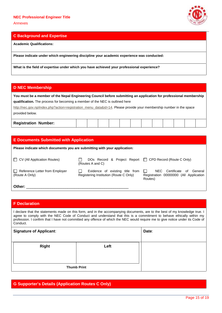Annexes



#### **C Background and Expertise**

**Academic Qualifications:**

**Please indicate under which engineering discipline your academic experience was conducted:**

**What is the field of expertise under which you have achieved your professional experience?**

### **D NEC Membership**

**You must be a member of the Nepal Engineering Council before submitting an application for professional membership qualification.** The process for becoming a member of the NEC is outlined here

http://nec.gov.np/index.php?action=registration\_menu\_data&id=14. Please provide your membership number in the space provided below.

| <b>Registration Number:</b> |  |  |  |  |  |  |  |  |  |  |  |  |
|-----------------------------|--|--|--|--|--|--|--|--|--|--|--|--|
|-----------------------------|--|--|--|--|--|--|--|--|--|--|--|--|

| <b>E</b> Documents Submitted with Application                             |                                                                             |                                                                                                          |  |  |  |
|---------------------------------------------------------------------------|-----------------------------------------------------------------------------|----------------------------------------------------------------------------------------------------------|--|--|--|
| Please indicate which documents you are submitting with your application: |                                                                             |                                                                                                          |  |  |  |
| $\Box$ CV (All Application Routes)                                        | DOs Record & Project Report   CPD Record (Route C Only)<br>(Routes A and C) |                                                                                                          |  |  |  |
| $\Box$ Reference Letter from Employer<br>(Route A Only)                   | Evidence of existing title from<br>Registering Institution (Route C Only)   | NEC<br>Certificate<br>General<br>of<br>$\mathbf{L}$<br>Registration 00000000 (All Application<br>Routes) |  |  |  |
| Other:                                                                    |                                                                             |                                                                                                          |  |  |  |

#### **F Declaration**

I declare that the statements made on this form, and in the accompanying documents, are to the best of my knowledge true. I agree to comply with the NEC Code of Conduct and understand that this is a commitment to behave ethically within my profession. I confirm that I have not committed any offence of which the NEC would require me to give notice under its Code of Conduct.

| <b>Signature of Applicant:</b> | Date:              |  |
|--------------------------------|--------------------|--|
| <b>Right</b>                   | Left               |  |
|                                | <b>Thumb Print</b> |  |

## **G Supporter's Details (Application Routes C Only)**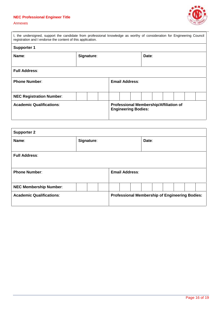# **NEC Professional Engineer Title**



#### Annexes

| I, the undersigned, support the candidate from professional knowledge as worthy of consideration for Engineering Council<br>registration and I endorse the content of this application. |                     |  |  |                            |                |                                        |  |  |  |  |
|-----------------------------------------------------------------------------------------------------------------------------------------------------------------------------------------|---------------------|--|--|----------------------------|----------------|----------------------------------------|--|--|--|--|
| <b>Supporter 1</b>                                                                                                                                                                      |                     |  |  |                            |                |                                        |  |  |  |  |
| Name:                                                                                                                                                                                   | Signature:<br>Date: |  |  |                            |                |                                        |  |  |  |  |
| <b>Full Address:</b>                                                                                                                                                                    |                     |  |  |                            |                |                                        |  |  |  |  |
| <b>Phone Number:</b>                                                                                                                                                                    |                     |  |  |                            | Email Address: |                                        |  |  |  |  |
| <b>NEC Registration Number:</b>                                                                                                                                                         |                     |  |  |                            |                |                                        |  |  |  |  |
| <b>Academic Qualifications:</b>                                                                                                                                                         |                     |  |  | <b>Engineering Bodies:</b> |                | Professional Membership/Affiliation of |  |  |  |  |

| <b>Supporter 2</b>              |                       |  |       |                                                       |  |  |  |
|---------------------------------|-----------------------|--|-------|-------------------------------------------------------|--|--|--|
| Name:                           | Signature:            |  | Date: |                                                       |  |  |  |
| <b>Full Address:</b>            |                       |  |       |                                                       |  |  |  |
| <b>Phone Number:</b>            | <b>Email Address:</b> |  |       |                                                       |  |  |  |
| <b>NEC Membership Number:</b>   |                       |  |       |                                                       |  |  |  |
| <b>Academic Qualifications:</b> |                       |  |       | <b>Professional Membership of Engineering Bodies:</b> |  |  |  |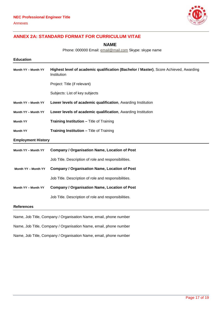

# **ANNEX 2A: STANDARD FORMAT FOR CURRICULUM VITAE**

**NAME**

Phone: 000000 Email: **email@mail.com** Skype: skype name

| <b>Education</b>          |                                                                                                      |
|---------------------------|------------------------------------------------------------------------------------------------------|
| Month YY - Month YY       | Highest level of academic qualification (Bachelor / Master), Score Achieved, Awarding<br>Institution |
|                           | Project: Title (if relevant)                                                                         |
|                           | Subjects: List of key subjects                                                                       |
| Month YY - Month YY       | Lower levels of academic qualification, Awarding Institution                                         |
| Month YY - Month YY       | Lower levels of academic qualification, Awarding Institution                                         |
| <b>Month YY</b>           | <b>Training Institution - Title of Training</b>                                                      |
| <b>Month YY</b>           | <b>Training Institution - Title of Training</b>                                                      |
| <b>Employment History</b> |                                                                                                      |
| Month YY - Month YY       | <b>Company / Organisation Name, Location of Post</b>                                                 |
|                           | Job Title. Description of role and responsibilities.                                                 |
| Month YY - Month YY       | <b>Company / Organisation Name, Location of Post</b>                                                 |
|                           | Job Title. Description of role and responsibilities.                                                 |
| Month YY - Month YY       | <b>Company / Organisation Name, Location of Post</b>                                                 |
|                           | Job Title. Description of role and responsibilities.                                                 |
| <b>References</b>         |                                                                                                      |

Name, Job Title, Company / Organisation Name, email, phone number

Name, Job Title, Company / Organisation Name, email, phone number

Name, Job Title, Company / Organisation Name, email, phone number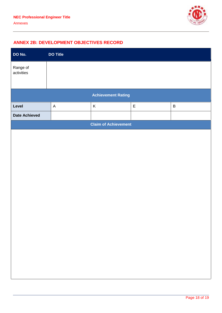

# **ANNEX 2B: DEVELOPMENT OBJECTIVES RECORD**

| DO No.                      | <b>DO Title</b>           |             |             |              |  |  |  |  |
|-----------------------------|---------------------------|-------------|-------------|--------------|--|--|--|--|
| Range of<br>activities      |                           |             |             |              |  |  |  |  |
| <b>Achievement Rating</b>   |                           |             |             |              |  |  |  |  |
| Level                       | $\boldsymbol{\mathsf{A}}$ | $\mathsf K$ | $\mathsf E$ | $\, {\bf B}$ |  |  |  |  |
| <b>Date Achieved</b>        |                           |             |             |              |  |  |  |  |
| <b>Claim of Achievement</b> |                           |             |             |              |  |  |  |  |
|                             |                           |             |             |              |  |  |  |  |
|                             |                           |             |             |              |  |  |  |  |
|                             |                           |             |             |              |  |  |  |  |
|                             |                           |             |             |              |  |  |  |  |
|                             |                           |             |             |              |  |  |  |  |
|                             |                           |             |             |              |  |  |  |  |
|                             |                           |             |             |              |  |  |  |  |
|                             |                           |             |             |              |  |  |  |  |
|                             |                           |             |             |              |  |  |  |  |
|                             |                           |             |             |              |  |  |  |  |
|                             |                           |             |             |              |  |  |  |  |
|                             |                           |             |             |              |  |  |  |  |
|                             |                           |             |             |              |  |  |  |  |
|                             |                           |             |             |              |  |  |  |  |
|                             |                           |             |             |              |  |  |  |  |
|                             |                           |             |             |              |  |  |  |  |